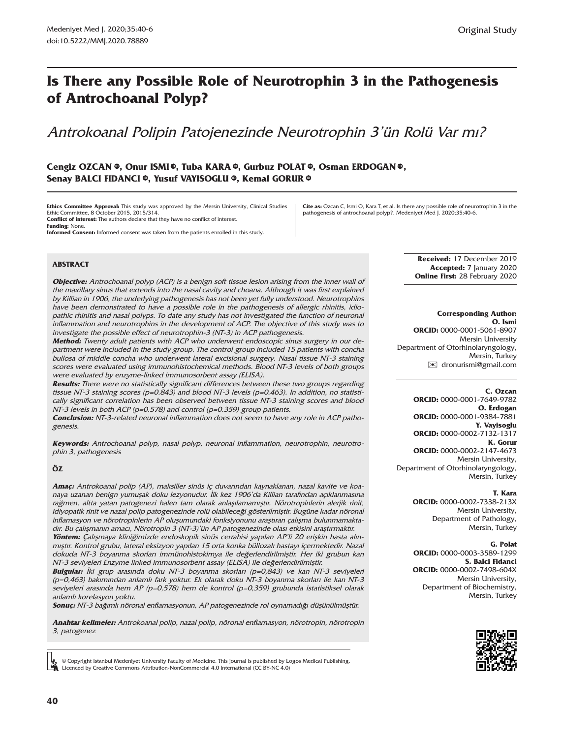# **Is There any Possible Role of Neurotrophin 3 in the Pathogenesis of Antrochoanal Polyp?**

# Antrokoanal Polipin Patojenezinde Neurotrophin 3'ün Rolü Var mı?

#### $C$ engizOZCAN ©, Onur ISM[I](https://orcid.org/0000-0001-5061-8907) ©, Tuba KARA ©, Gurbuz POLAT ©, Osman ERDOGAN ©, **Senay BALCI F[ID](https://orcid.org/0000-0002-2147-4673)ANCI ©, Yusuf VAYISOGLU ©, Kemal GORUR ©**

**Ethics Committee Approval:** This study was approved by the Mersin University, Clinical Studies Ethic Committee, 8 October 2015, 2015/314. **Conflict of interest:** The authors declare that they have no conflict of interest. **Funding:** None.

**Informed Consent:** Informed consent was taken from the patients enrolled in this study.

**Cite as:** Ozcan C, Ismi O, Kara T, et al. Is there any possible role of neurotrophin 3 in the pathogenesis of antrochoanal polyp?. Medeniyet Med J. 2020;35:40-6.

**ABSTRACT**

**Objective:** Antrochoanal polyp (ACP) is a benign soft tissue lesion arising from the inner wall of the maxillary sinus that extends into the nasal cavity and choana. Although it was first explained by Killian in 1906, the underlying pathogenesis has not been yet fully understood. Neurotrophins have been demonstrated to have a possible role in the pathogenesis of allergic rhinitis, idiopathic rhinitis and nasal polyps. To date any study has not investigated the function of neuronal inflammation and neurotrophins in the development of ACP. The objective of this study was to investigate the possible effect of neurotrophin-3 (NT-3) in ACP pathogenesis.

**Method:** Twenty adult patients with ACP who underwent endoscopic sinus surgery in our department were included in the study group. The control group included 15 patients with concha bullosa of middle concha who underwent lateral excisional surgery. Nasal tissue NT-3 staining scores were evaluated using immunohistochemical methods. Blood NT-3 levels of both groups were evaluated by enzyme-linked immunosorbent assay (ELISA).

**Results:** There were no statistically significant differences between these two groups regarding tissue NT-3 staining scores (p=0.843) and blood NT-3 levels (p=0.463). In addition, no statistically significant correlation has been observed between tissue NT-3 staining scores and blood NT-3 levels in both ACP (p=0.578) and control (p=0.359) group patients.

**Conclusion:** NT-3-related neuronal inflammation does not seem to have any role in ACP pathogenesis.

**Keywords:** Antrochoanal polyp, nasal polyp, neuronal inflammation, neurotrophin, neurotrophin 3, pathogenesis

**ÖZ**

**Amaç:** Antrokoanal polip (AP), maksiller sinüs iç duvarından kaynaklanan, nazal kavite ve koanaya uzanan benign yumuşak doku lezyonudur. İlk kez 1906'da Killian tarafından açıklanmasına rağmen, altta yatan patogenezi halen tam olarak anlaşılamamıştır. Nörotropinlerin alerjik rinit, idiyopatik rinit ve nazal polip patogenezinde rolü olabileceği gösterilmiştir. Bugüne kadar nöronal inflamasyon ve nörotropinlerin AP oluşumundaki fonksiyonunu araştıran çalışma bulunmamaktadır. Bu çalışmanın amacı, Nörotropin 3 (NT-3)'ün AP patogenezinde olası etkisini araştırmaktır.

**Yöntem:** Çalışmaya kliniğimizde endoskopik sinüs cerrahisi yapılan AP'li 20 erişkin hasta alınmıştır. Kontrol grubu, lateral eksizyon yapılan 15 orta konka büllozalı hastayı içermektedir. Nazal dokuda NT-3 boyanma skorları immünohistokimya ile değerlendirilmiştir. Her iki grubun kan NT-3 seviyeleri Enzyme linked immunosorbent assay (ELISA) ile değerlendirilmiştir.

**Bulgular:** İki grup arasında doku NT-3 boyanma skorları (p=0,843) ve kan NT-3 seviyeleri (p=0,463) bakımından anlamlı fark yoktur. Ek olarak doku NT-3 boyanma skorları ile kan NT-3 seviyeleri arasında hem AP (p=0,578) hem de kontrol (p=0,359) grubunda istatistiksel olarak anlamlı korelasyon yoktu.

**Sonuç:** NT-3 bağımlı nöronal enflamasyonun, AP patogenezinde rol oynamadığı düşünülmüştür.

**Anahtar kelimeler:** Antrokoanal polip, nazal polip, nöronal enflamasyon, nörotropin, nörotropin 3, patogenez

© Copyright Istanbul Medeniyet University Faculty of Medicine. This journal is published by Logos Medical Publishing. Licenced by Creative Commons Attribution-NonCommercial 4.0 International (CC BY-NC 4.0)

**Received:** 17 December 2019 **Accepted:** 7 January 2020 **Online First:** 28 February 2020

#### **Corresponding Author:**

**O. Ismi ORCID:** 0000-0001-5061-8907 Mersin University Department of Otorhinolaryngology, Mersin, Turkey [✉](mailto:dronurismi@gmail.com) dronurismi@gmail.com

#### **C. Ozcan**

**ORCID:** 0000-0001-7649-9782 **O. Erdogan ORCID:** 0000-0001-9384-7881 **Y. Vayisoglu ORCID:** 0000-0002-7132-1317 **K. Gorur ORCID:** 0000-0002-2147-4673 Mersin University, Department of Otorhinolaryngology, Mersin, Turkey

#### **T. Kara**

**ORCID:** 0000-0002-7338-213X Mersin University, Department of Pathology, Mersin, Turkey

#### **G. Polat**

**ORCID:** 0000-0003-3589-1299 **S. Balci Fidanci ORCID:** 0000-0002-7498-604X Mersin University, Department of Biochemistry, Mersin, Turkey

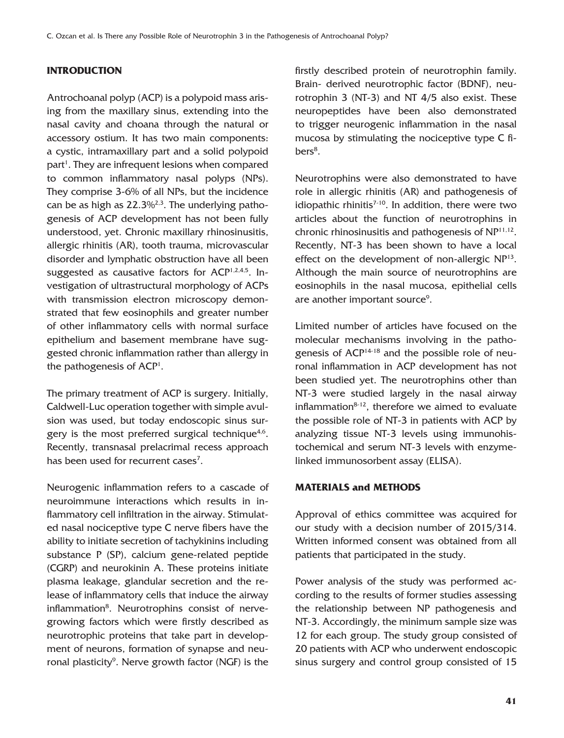# **INTRODUCTION**

Antrochoanal polyp (ACP) is a polypoid mass arising from the maxillary sinus, extending into the nasal cavity and choana through the natural or accessory ostium. It has two main components: a cystic, intramaxillary part and a solid polypoid part<sup>1</sup>. They are infrequent lesions when compared to common inflammatory nasal polyps (NPs). They comprise 3-6% of all NPs, but the incidence can be as high as 22.3%2,3. The underlying pathogenesis of ACP development has not been fully understood, yet. Chronic maxillary rhinosinusitis, allergic rhinitis (AR), tooth trauma, microvascular disorder and lymphatic obstruction have all been suggested as causative factors for  $ACP<sup>1,2,4,5</sup>$ . Investigation of ultrastructural morphology of ACPs with transmission electron microscopy demonstrated that few eosinophils and greater number of other inflammatory cells with normal surface epithelium and basement membrane have suggested chronic inflammation rather than allergy in the pathogenesis of ACP<sup>1</sup>.

The primary treatment of ACP is surgery. Initially, Caldwell-Luc operation together with simple avulsion was used, but today endoscopic sinus surgery is the most preferred surgical technique<sup>4,6</sup>. Recently, transnasal prelacrimal recess approach has been used for recurrent cases<sup>7</sup>.

Neurogenic inflammation refers to a cascade of neuroimmune interactions which results in inflammatory cell infiltration in the airway. Stimulated nasal nociceptive type C nerve fibers have the ability to initiate secretion of tachykinins including substance P (SP), calcium gene-related peptide (CGRP) and neurokinin A. These proteins initiate plasma leakage, glandular secretion and the release of inflammatory cells that induce the airway inflammation<sup>8</sup>. Neurotrophins consist of nervegrowing factors which were firstly described as neurotrophic proteins that take part in development of neurons, formation of synapse and neuronal plasticity<sup>9</sup>. Nerve growth factor (NGF) is the firstly described protein of neurotrophin family. Brain- derived neurotrophic factor (BDNF), neurotrophin 3 (NT-3) and NT 4/5 also exist. These neuropeptides have been also demonstrated to trigger neurogenic inflammation in the nasal mucosa by stimulating the nociceptive type C fibers<sup>8</sup>.

Neurotrophins were also demonstrated to have role in allergic rhinitis (AR) and pathogenesis of idiopathic rhinitis $7-10$ . In addition, there were two articles about the function of neurotrophins in chronic rhinosinusitis and pathogenesis of NP11,12. Recently, NT-3 has been shown to have a local effect on the development of non-allergic  $NP<sup>13</sup>$ . Although the main source of neurotrophins are eosinophils in the nasal mucosa, epithelial cells are another important source<sup>9</sup>.

Limited number of articles have focused on the molecular mechanisms involving in the pathogenesis of ACP14-18 and the possible role of neuronal inflammation in ACP development has not been studied yet. The neurotrophins other than NT-3 were studied largely in the nasal airway inflammation $8-12$ , therefore we aimed to evaluate the possible role of NT-3 in patients with ACP by analyzing tissue NT-3 levels using immunohistochemical and serum NT-3 levels with enzymelinked immunosorbent assay (ELISA).

### **MATERIALS and METHODS**

Approval of ethics committee was acquired for our study with a decision number of 2015/314. Written informed consent was obtained from all patients that participated in the study.

Power analysis of the study was performed according to the results of former studies assessing the relationship between NP pathogenesis and NT-3. Accordingly, the minimum sample size was 12 for each group. The study group consisted of 20 patients with ACP who underwent endoscopic sinus surgery and control group consisted of 15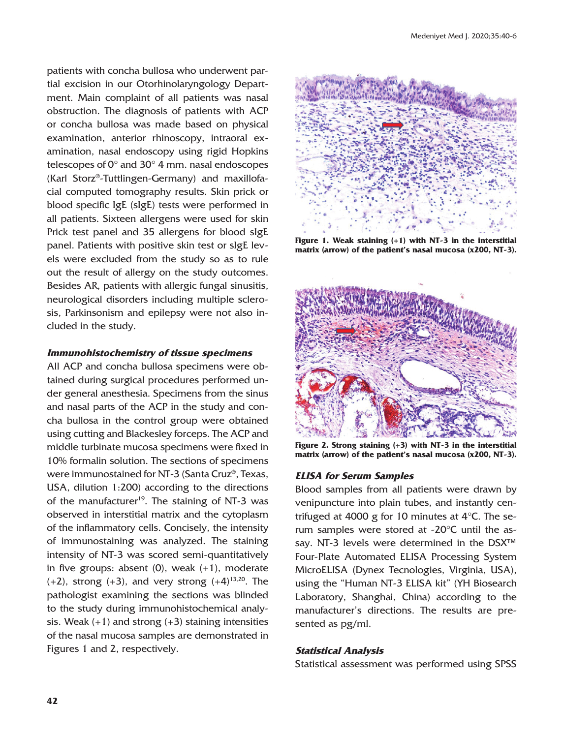patients with concha bullosa who underwent partial excision in our Otorhinolaryngology Department. Main complaint of all patients was nasal obstruction. The diagnosis of patients with ACP or concha bullosa was made based on physical examination, anterior rhinoscopy, intraoral examination, nasal endoscopy using rigid Hopkins telescopes of  $0^{\circ}$  and  $30^{\circ}$  4 mm. nasal endoscopes (Karl Storz®-Tuttlingen-Germany) and maxillofacial computed tomography results. Skin prick or blood specific IgE (sIgE) tests were performed in all patients. Sixteen allergens were used for skin Prick test panel and 35 allergens for blood sIgE panel. Patients with positive skin test or sIgE levels were excluded from the study so as to rule out the result of allergy on the study outcomes. Besides AR, patients with allergic fungal sinusitis, neurological disorders including multiple sclerosis, Parkinsonism and epilepsy were not also included in the study.

#### **Immunohistochemistry of tissue specimens**

All ACP and concha bullosa specimens were obtained during surgical procedures performed under general anesthesia. Specimens from the sinus and nasal parts of the ACP in the study and concha bullosa in the control group were obtained using cutting and Blackesley forceps. The ACP and middle turbinate mucosa specimens were fixed in 10% formalin solution. The sections of specimens were immunostained for NT-3 (Santa Cruz®, Texas, USA, dilution 1:200) according to the directions of the manufacturer<sup>19</sup>. The staining of NT-3 was observed in interstitial matrix and the cytoplasm of the inflammatory cells. Concisely, the intensity of immunostaining was analyzed. The staining intensity of NT-3 was scored semi-quantitatively in five groups: absent  $(0)$ , weak  $(+1)$ , moderate  $(+2)$ , strong  $(+3)$ , and very strong  $(+4)^{13,20}$ . The pathologist examining the sections was blinded to the study during immunohistochemical analysis. Weak  $(+1)$  and strong  $(+3)$  staining intensities of the nasal mucosa samples are demonstrated in Figures 1 and 2, respectively.



**Figure 1. Weak staining (+1) with NT-3 in the interstitial matrix (arrow) of the patient's nasal mucosa (x200, NT-3).**



**Figure 2. Strong staining (+3) with NT-3 in the interstitial matrix (arrow) of the patient's nasal mucosa (x200, NT-3).**

### **ELISA for Serum Samples**

Blood samples from all patients were drawn by venipuncture into plain tubes, and instantly centrifuged at 4000 g for 10 minutes at 4°C. The serum samples were stored at -20°C until the assay. NT-3 levels were determined in the DSX<sup>™</sup> Four-Plate Automated ELISA Processing System MicroELISA (Dynex Tecnologies, Virginia, USA), using the "Human NT-3 ELISA kit" (YH Biosearch Laboratory, Shanghai, China) according to the manufacturer's directions. The results are presented as pg/ml.

#### **Statistical Analysis**

Statistical assessment was performed using SPSS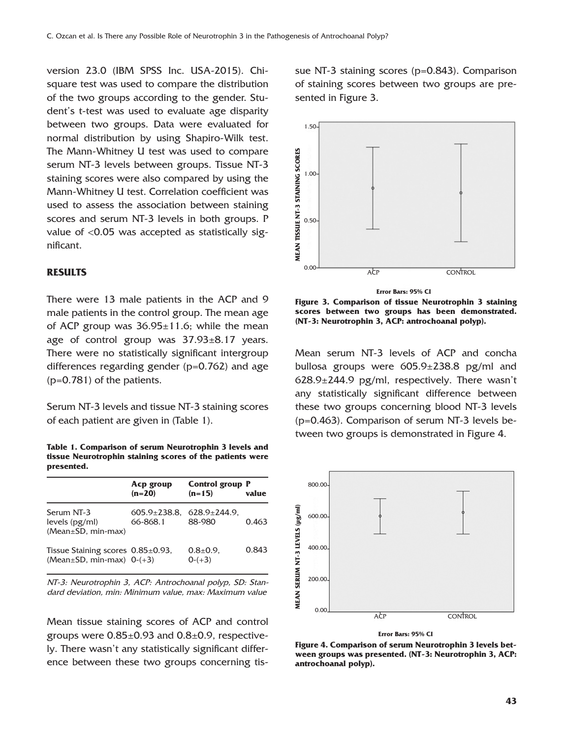version 23.0 (IBM SPSS Inc. USA-2015). Chisquare test was used to compare the distribution of the two groups according to the gender. Student's t-test was used to evaluate age disparity between two groups. Data were evaluated for normal distribution by using Shapiro-Wilk test. The Mann-Whitney U test was used to compare serum NT-3 levels between groups. Tissue NT-3 staining scores were also compared by using the Mann-Whitney U test. Correlation coefficient was used to assess the association between staining scores and serum NT-3 levels in both groups. P value of <0.05 was accepted as statistically significant.

#### **RESULTS**

There were 13 male patients in the ACP and 9 male patients in the control group. The mean age of ACP group was  $36.95 \pm 11.6$ ; while the mean age of control group was  $37.93 \pm 8.17$  years. There were no statistically significant intergroup differences regarding gender (p=0.762) and age (p=0.781) of the patients.

Serum NT-3 levels and tissue NT-3 staining scores of each patient are given in (Table 1).

**Table 1. Comparison of serum Neurotrophin 3 levels and tissue Neurotrophin staining scores of the patients were presented.**

|                                                                           | Acp group<br>$(n=20)$                               | <b>Control group P</b><br>$(n=15)$ | value |
|---------------------------------------------------------------------------|-----------------------------------------------------|------------------------------------|-------|
| Serum NT-3<br>levels (pg/ml)<br>$(Mean \pm SD, min-max)$                  | $605.9 \pm 238.8$ , $628.9 \pm 244.9$ ,<br>66-868.1 | 88-980                             | 0.463 |
| Tissue Staining scores $0.85\pm0.93$ ,<br>(Mean $\pm$ SD, min-max) 0-(+3) |                                                     | $0.8{\pm}0.9$ .<br>$0-(+3)$        | 0.843 |

NT-3: Neurotrophin 3, ACP: Antrochoanal polyp, SD: Standard deviation, min: Minimum value, max: Maximum value

Mean tissue staining scores of ACP and control groups were  $0.85\pm0.93$  and  $0.8\pm0.9$ , respectively. There wasn't any statistically significant difference between these two groups concerning tissue NT-3 staining scores (p=0.843). Comparison of staining scores between two groups are presented in Figure 3.



**Figure 3. Comparison of tissue Neurotrophin 3 staining scores between two groups has been demonstrated. (NT-3: Neurotrophin 3, ACP: antrochoanal polyp).**

Mean serum NT-3 levels of ACP and concha bullosa groups were 605.9±238.8 pg/ml and 628.9±244.9 pg/ml, respectively. There wasn't any statistically significant difference between these two groups concerning blood NT-3 levels (p=0.463). Comparison of serum NT-3 levels between two groups is demonstrated in Figure 4.



**Error Bars: 95% CI**

**Figure 4. Comparison of serum Neurotrophin 3 levels between groups was presented. (NT-3: Neurotrophin 3, ACP:**  antrochoanal polyp).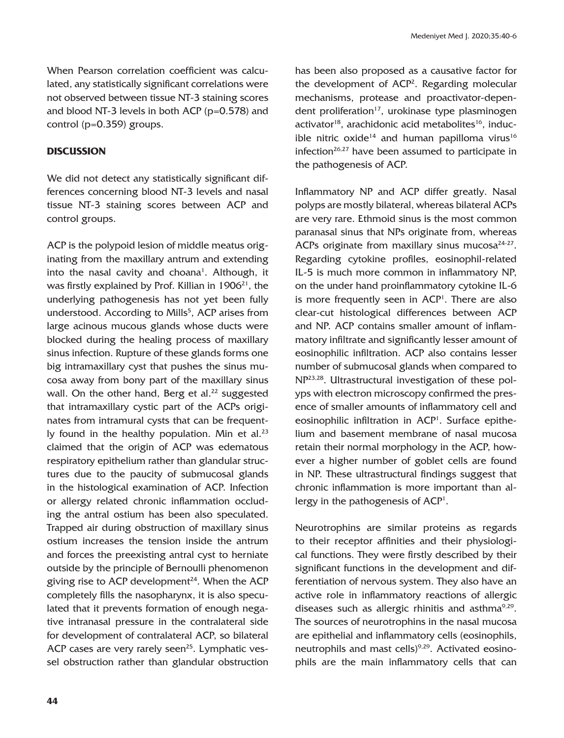When Pearson correlation coefficient was calculated, any statistically significant correlations were not observed between tissue NT-3 staining scores and blood NT-3 levels in both ACP (p=0.578) and control (p=0.359) groups.

### **DISCUSSION**

We did not detect any statistically significant differences concerning blood NT-3 levels and nasal tissue NT-3 staining scores between ACP and control groups.

ACP is the polypoid lesion of middle meatus originating from the maxillary antrum and extending into the nasal cavity and choana<sup>1</sup>. Although, it was firstly explained by Prof. Killian in  $1906<sup>21</sup>$ , the underlying pathogenesis has not yet been fully understood. According to Mills<sup>5</sup>, ACP arises from large acinous mucous glands whose ducts were blocked during the healing process of maxillary sinus infection. Rupture of these glands forms one big intramaxillary cyst that pushes the sinus mucosa away from bony part of the maxillary sinus wall. On the other hand, Berg et al.<sup>22</sup> suggested that intramaxillary cystic part of the ACPs originates from intramural cysts that can be frequently found in the healthy population. Min et al. $23$ claimed that the origin of ACP was edematous respiratory epithelium rather than glandular structures due to the paucity of submucosal glands in the histological examination of ACP. Infection or allergy related chronic inflammation occluding the antral ostium has been also speculated. Trapped air during obstruction of maxillary sinus ostium increases the tension inside the antrum and forces the preexisting antral cyst to herniate outside by the principle of Bernoulli phenomenon giving rise to ACP development $^{24}$ . When the ACP completely fills the nasopharynx, it is also speculated that it prevents formation of enough negative intranasal pressure in the contralateral side for development of contralateral ACP, so bilateral ACP cases are very rarely seen<sup>25</sup>. Lymphatic vessel obstruction rather than glandular obstruction

has been also proposed as a causative factor for the development of ACP<sup>2</sup>. Regarding molecular mechanisms, protease and proactivator-dependent proliferation<sup>17</sup>, urokinase type plasminogen activator<sup>18</sup>, arachidonic acid metabolites<sup>16</sup>, inducible nitric oxide<sup>14</sup> and human papilloma virus<sup>16</sup> infection $26,27$  have been assumed to participate in the pathogenesis of ACP.

Inflammatory NP and ACP differ greatly. Nasal polyps are mostly bilateral, whereas bilateral ACPs are very rare. Ethmoid sinus is the most common paranasal sinus that NPs originate from, whereas ACPs originate from maxillary sinus mucosa $24-27$ . Regarding cytokine profiles, eosinophil-related IL-5 is much more common in inflammatory NP, on the under hand proinflammatory cytokine IL-6 is more frequently seen in  $ACP<sup>1</sup>$ . There are also clear-cut histological differences between ACP and NP. ACP contains smaller amount of inflammatory infiltrate and significantly lesser amount of eosinophilic infiltration. ACP also contains lesser number of submucosal glands when compared to NP23,28. Ultrastructural investigation of these polyps with electron microscopy confirmed the presence of smaller amounts of inflammatory cell and eosinophilic infiltration in ACP1 . Surface epithelium and basement membrane of nasal mucosa retain their normal morphology in the ACP, however a higher number of goblet cells are found in NP. These ultrastructural findings suggest that chronic inflammation is more important than allergy in the pathogenesis of ACP<sup>1</sup>.

Neurotrophins are similar proteins as regards to their receptor affinities and their physiological functions. They were firstly described by their significant functions in the development and differentiation of nervous system. They also have an active role in inflammatory reactions of allergic diseases such as allergic rhinitis and asthma $9,29$ . The sources of neurotrophins in the nasal mucosa are epithelial and inflammatory cells (eosinophils, neutrophils and mast cells)<sup>9,29</sup>. Activated eosinophils are the main inflammatory cells that can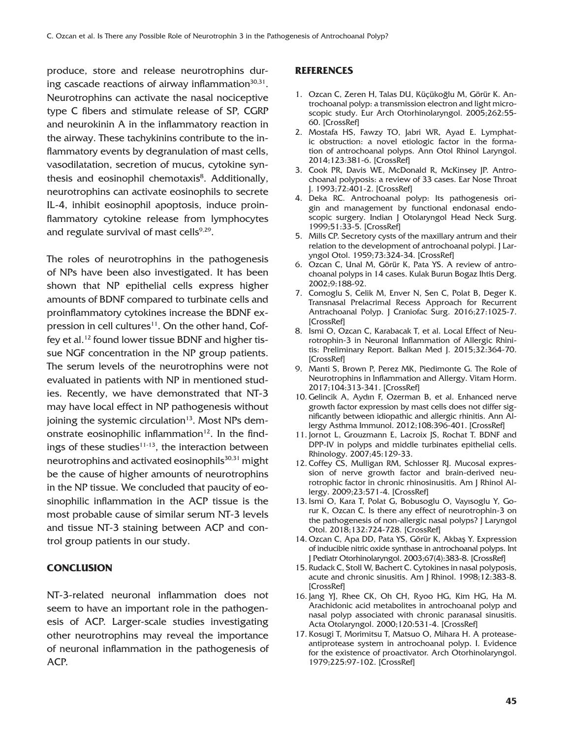produce, store and release neurotrophins during cascade reactions of airway inflammation $30,31$ . Neurotrophins can activate the nasal nociceptive type C fibers and stimulate release of SP, CGRP and neurokinin A in the inflammatory reaction in the airway. These tachykinins contribute to the inflammatory events by degranulation of mast cells, vasodilatation, secretion of mucus, cytokine synthesis and eosinophil chemotaxis<sup>8</sup>. Additionally, neurotrophins can activate eosinophils to secrete IL-4, inhibit eosinophil apoptosis, induce proinflammatory cytokine release from lymphocytes and regulate survival of mast cells $9,29$ .

The roles of neurotrophins in the pathogenesis of NPs have been also investigated. It has been shown that NP epithelial cells express higher amounts of BDNF compared to turbinate cells and proinflammatory cytokines increase the BDNF expression in cell cultures<sup>11</sup>. On the other hand, Coffey et al.12 found lower tissue BDNF and higher tissue NGF concentration in the NP group patients. The serum levels of the neurotrophins were not evaluated in patients with NP in mentioned studies. Recently, we have demonstrated that NT-3 may have local effect in NP pathogenesis without joining the systemic circulation $13$ . Most NPs demonstrate eosinophilic inflammation $12$ . In the findings of these studies $11-13$ , the interaction between neurotrophins and activated eosinophils<sup>30,31</sup> might be the cause of higher amounts of neurotrophins in the NP tissue. We concluded that paucity of eosinophilic inflammation in the ACP tissue is the most probable cause of similar serum NT-3 levels and tissue NT-3 staining between ACP and control group patients in our study.

## **CONCLUSION**

NT-3-related neuronal inflammation does not seem to have an important role in the pathogenesis of ACP. Larger-scale studies investigating other neurotrophins may reveal the importance of neuronal inflammation in the pathogenesis of ACP.

#### **REFERENCES**

- 1. Ozcan C, Zeren H, Talas DU, Küçükoğlu M, Görür K. Antrochoanal polyp: a transmission electron and light microscopic study. Eur Arch Otorhinolaryngol. 2005;262:55- 60. [\[CrossRef\]](https://doi.org/10.1007/s00405-003-0729-1)
- 2. Mostafa HS, Fawzy TO, Jabri WR, Ayad E. Lymphatic obstruction: a novel etiologic factor in the formation of antrochoanal polyps. Ann Otol Rhinol Laryngol. 2014;123:381-6. [\[CrossRef\]](https://doi.org/10.1177/0003489414522973)
- 3. Cook PR, Davis WE, McDonald R, McKinsey JP. Antrochoanal polyposis: a review of 33 cases. Ear Nose Throat J. 1993;72:401-2. [\[CrossRef\]](https://doi.org/10.1177/014556139307200607)
- 4. Deka RC. Antrochoanal polyp: Its pathogenesis origin and management by functional endonasal endoscopic surgery. Indian J Otolaryngol Head Neck Surg. 1999;51:33-5. [\[CrossRef\]](https://doi.org/10.1007/BF02996841)
- 5. Mills CP. Secretory cysts of the maxillary antrum and their relation to the development of antrochoanal polypi. J Laryngol Otol. 1959;73:324-34. [\[CrossRef\]](https://doi.org/10.1017/S0022215100055365)
- 6. Ozcan C, Unal M, Görür K, Pata YS. A review of antrochoanal polyps in 14 cases. Kulak Burun Bogaz Ihtis Derg. 2002;9:188-92.
- 7. Comoglu S, Celik M, Enver N, Sen C, Polat B, Deger K. Transnasal Prelacrimal Recess Approach for Recurrent Antrachoanal Polyp. J Craniofac Surg. 2016;27:1025-7. [\[CrossRef\]](https://doi.org/10.1097/SCS.0000000000002699)
- 8. Ismi O, Ozcan C, Karabacak T, et al. Local Effect of Neurotrophin-3 in Neuronal Inflammation of Allergic Rhinitis: Preliminary Report. Balkan Med J. 2015;32:364-70. **[\[CrossRef\]](https://doi.org/10.5152/balkanmedj.2015.151028)**
- 9. Manti S, Brown P, Perez MK, Piedimonte G. The Role of Neurotrophins in Inflammation and Allergy. Vitam Horm. 2017;104:313-341. [\[CrossRef\]](https://doi.org/10.1016/bs.vh.2016.10.010)
- 10. Gelincik A, Aydın F, Ozerman B, et al. Enhanced nerve growth factor expression by mast cells does not differ significantly between idiopathic and allergic rhinitis. Ann Allergy Asthma Immunol. 2012;108:396-401. [\[CrossRef\]](https://doi.org/10.1016/j.anai.2012.04.006)
- 11. Jornot L, Grouzmann E, Lacroix JS, Rochat T. BDNF and DPP-IV in polyps and middle turbinates epithelial cells. Rhinology. 2007;45:129-33.
- 12. Coffey CS, Mulligan RM, Schlosser RJ. Mucosal expression of nerve growth factor and brain-derived neurotrophic factor in chronic rhinosinusitis. Am J Rhinol Allergy. 2009;23:571-4. [\[CrossRef\]](https://doi.org/10.2500/ajra.2009.23.3412)
- 13. Ismi O, Kara T, Polat G, Bobusoglu O, Vayısoglu Y, Gorur K, Ozcan C. Is there any effect of neurotrophin-3 on the pathogenesis of non-allergic nasal polyps? J Laryngol Otol. 2018;132:724-728. [\[CrossRef\]](https://doi.org/10.1017/S0022215118000981)
- 14. Ozcan C, Apa DD, Pata YS, Görür K, Akbaş Y. Expression of inducible nitric oxide synthase in antrochoanal polyps. Int J Pediatr Otorhinolaryngol. 2003;67(4):383-8. [\[CrossRef\]](https://doi.org/10.1016/S0165-5876(02)00405-6)
- 15. Rudack C, Stoll W, Bachert C. Cytokines in nasal polyposis, acute and chronic sinusitis. Am J Rhinol. 1998;12:383-8. [\[CrossRef\]](https://doi.org/10.2500/105065898780708008)
- 16. Jang YJ, Rhee CK, Oh CH, Ryoo HG, Kim HG, Ha M. Arachidonic acid metabolites in antrochoanal polyp and nasal polyp associated with chronic paranasal sinusitis. Acta Otolaryngol. 2000;120:531-4. [\[CrossRef\]](https://doi.org/10.1080/000164800750046054)
- 17. Kosugi T, Morimitsu T, Matsuo O, Mihara H. A proteaseantiprotease system in antrochoanal polyp. I. Evidence for the existence of proactivator. Arch Otorhinolaryngol. 1979;225:97-102. [\[CrossRef\]](https://doi.org/10.1007/BF00455209)